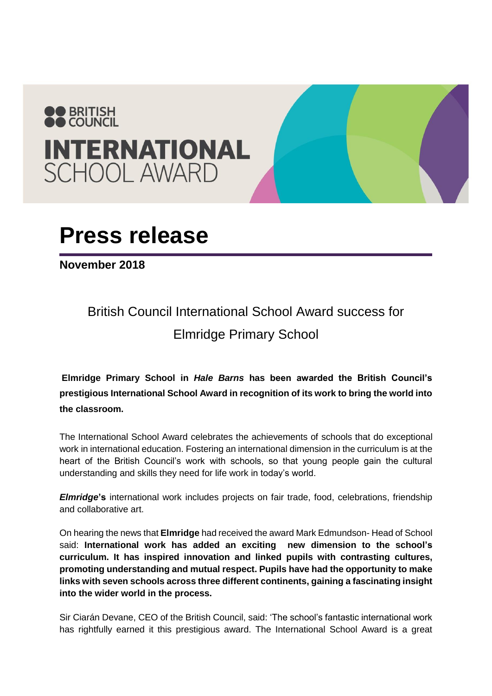

## **Press release**

**November 2018**

## British Council International School Award success for Elmridge Primary School

**Elmridge Primary School in** *Hale Barns* **has been awarded the British Council's prestigious International School Award in recognition of its work to bring the world into the classroom.**

The International School Award celebrates the achievements of schools that do exceptional work in international education. Fostering an international dimension in the curriculum is at the heart of the British Council's work with schools, so that young people gain the cultural understanding and skills they need for life work in today's world.

*Elmridge***'s** international work includes projects on fair trade, food, celebrations, friendship and collaborative art.

On hearing the news that **Elmridge** had received the award Mark Edmundson- Head of School said: **International work has added an exciting new dimension to the school's curriculum. It has inspired innovation and linked pupils with contrasting cultures, promoting understanding and mutual respect. Pupils have had the opportunity to make links with seven schools across three different continents, gaining a fascinating insight into the wider world in the process.**

Sir Ciarán Devane, CEO of the British Council, said: 'The school's fantastic international work has rightfully earned it this prestigious award. The International School Award is a great